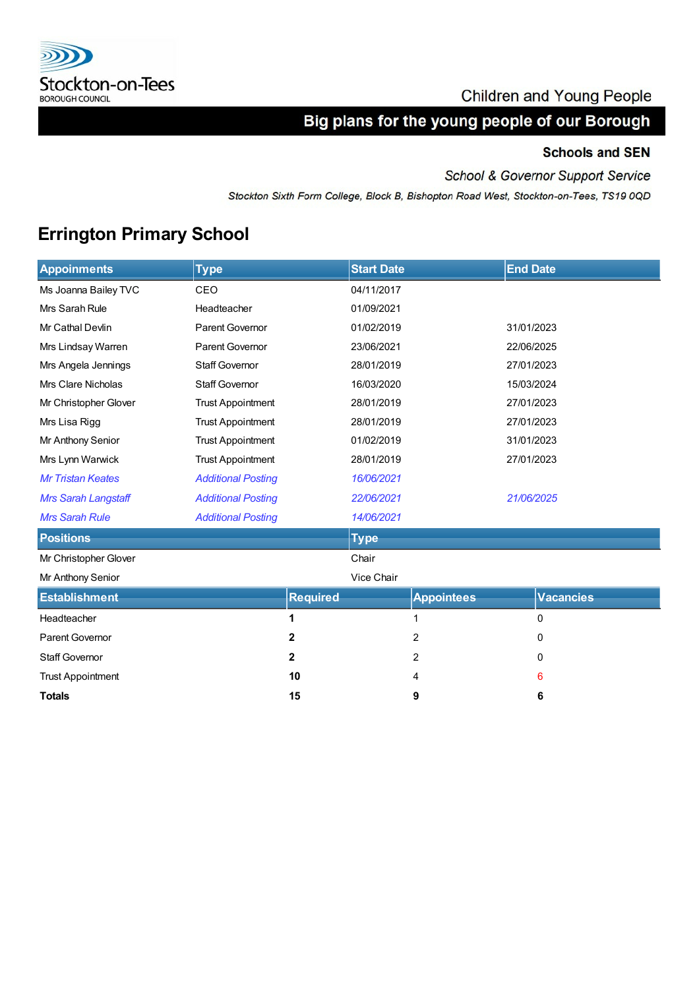

### **Children and Young People**

# Big plans for the young people of our Borough

### **Schools and SEN**

School & Governor Support Service

Stockton Sixth Form College, Block B, Bishopton Road West, Stockton-on-Tees, TS19 0QD

# **Errington Primary School**

| <b>Appoinments</b>         | <b>Type</b>               |                 | <b>Start Date</b> |                   | <b>End Date</b> |                  |  |
|----------------------------|---------------------------|-----------------|-------------------|-------------------|-----------------|------------------|--|
| Ms Joanna Bailey TVC       | CEO                       |                 | 04/11/2017        |                   |                 |                  |  |
| Mrs Sarah Rule             | Headteacher               |                 | 01/09/2021        |                   |                 |                  |  |
| Mr Cathal Devlin           | Parent Governor           |                 | 01/02/2019        |                   | 31/01/2023      |                  |  |
| Mrs Lindsay Warren         | Parent Governor           |                 | 23/06/2021        |                   | 22/06/2025      |                  |  |
| Mrs Angela Jennings        | <b>Staff Governor</b>     |                 | 28/01/2019        |                   | 27/01/2023      |                  |  |
| <b>Mrs Clare Nicholas</b>  | <b>Staff Governor</b>     |                 | 16/03/2020        |                   | 15/03/2024      |                  |  |
| Mr Christopher Glover      | <b>Trust Appointment</b>  |                 | 28/01/2019        |                   | 27/01/2023      |                  |  |
| Mrs Lisa Rigg              | <b>Trust Appointment</b>  |                 | 28/01/2019        |                   | 27/01/2023      |                  |  |
| Mr Anthony Senior          | <b>Trust Appointment</b>  |                 | 01/02/2019        |                   | 31/01/2023      |                  |  |
| Mrs Lynn Warwick           | <b>Trust Appointment</b>  |                 | 28/01/2019        |                   | 27/01/2023      |                  |  |
| <b>Mr Tristan Keates</b>   | <b>Additional Posting</b> |                 | 16/06/2021        |                   |                 |                  |  |
| <b>Mrs Sarah Langstaff</b> | <b>Additional Posting</b> |                 |                   | 22/06/2021        |                 | 21/06/2025       |  |
| <b>Mrs Sarah Rule</b>      | <b>Additional Posting</b> |                 | 14/06/2021        |                   |                 |                  |  |
| <b>Positions</b>           |                           |                 | <b>Type</b>       |                   |                 |                  |  |
| Mr Christopher Glover      |                           |                 | Chair             |                   |                 |                  |  |
| Mr Anthony Senior          |                           |                 | Vice Chair        |                   |                 |                  |  |
| <b>Establishment</b>       |                           | <b>Required</b> |                   | <b>Appointees</b> |                 | <b>Vacancies</b> |  |
| Headteacher                |                           | 1               |                   | 1                 |                 | 0                |  |
| Parent Governor            |                           | 2               |                   | 2                 |                 | 0                |  |
| <b>Staff Governor</b>      |                           | $\mathbf{2}$    |                   | 2                 |                 | 0                |  |
| <b>Trust Appointment</b>   |                           | 10              |                   | 4                 |                 | 6                |  |
| <b>Totals</b>              |                           | 15              |                   | 9                 |                 | 6                |  |